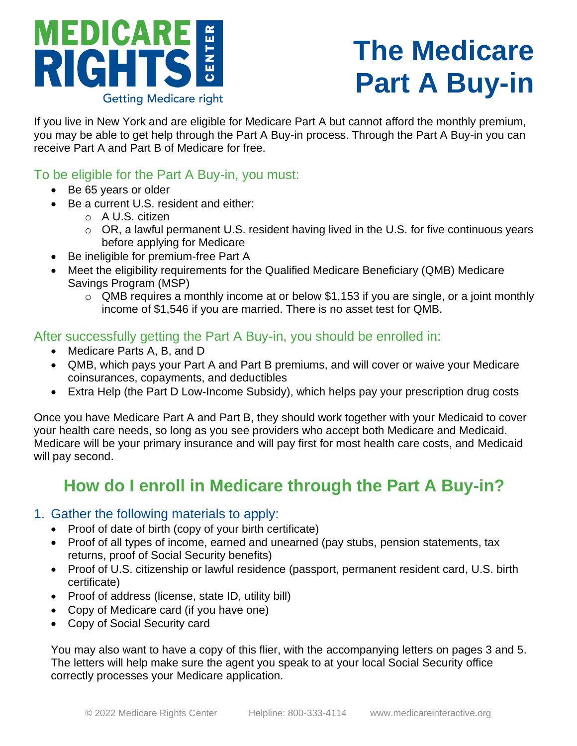# MEDICARE **Getting Medicare right**

## **The Medicare Part A Buy-in**

If you live in New York and are eligible for Medicare Part A but cannot afford the monthly premium, you may be able to get help through the Part A Buy-in process. Through the Part A Buy-in you can receive Part A and Part B of Medicare for free.

## To be eligible for the Part A Buy-in, you must:

- Be 65 years or older
- Be a current U.S. resident and either:
	- o A U.S. citizen
	- o OR, a lawful permanent U.S. resident having lived in the U.S. for five continuous years before applying for Medicare
- Be ineligible for premium-free Part A
- Meet the eligibility requirements for the Qualified Medicare Beneficiary (QMB) Medicare Savings Program (MSP)
	- $\circ$  QMB requires a monthly income at or below \$1,153 if you are single, or a joint monthly income of \$1,546 if you are married. There is no asset test for QMB.

## After successfully getting the Part A Buy-in, you should be enrolled in:

- Medicare Parts A, B, and D
- QMB, which pays your Part A and Part B premiums, and will cover or waive your Medicare coinsurances, copayments, and deductibles
- Extra Help (the Part D Low-Income Subsidy), which helps pay your prescription drug costs

Once you have Medicare Part A and Part B, they should work together with your Medicaid to cover your health care needs, so long as you see providers who accept both Medicare and Medicaid. Medicare will be your primary insurance and will pay first for most health care costs, and Medicaid will pay second.

## **How do I enroll in Medicare through the Part A Buy-in?**

## 1. Gather the following materials to apply:

- Proof of date of birth (copy of your birth certificate)
- Proof of all types of income, earned and unearned (pay stubs, pension statements, tax returns, proof of Social Security benefits)
- Proof of U.S. citizenship or lawful residence (passport, permanent resident card, U.S. birth certificate)
- Proof of address (license, state ID, utility bill)
- Copy of Medicare card (if you have one)
- Copy of Social Security card

You may also want to have a copy of this flier, with the accompanying letters on pages 3 and 5. The letters will help make sure the agent you speak to at your local Social Security office correctly processes your Medicare application.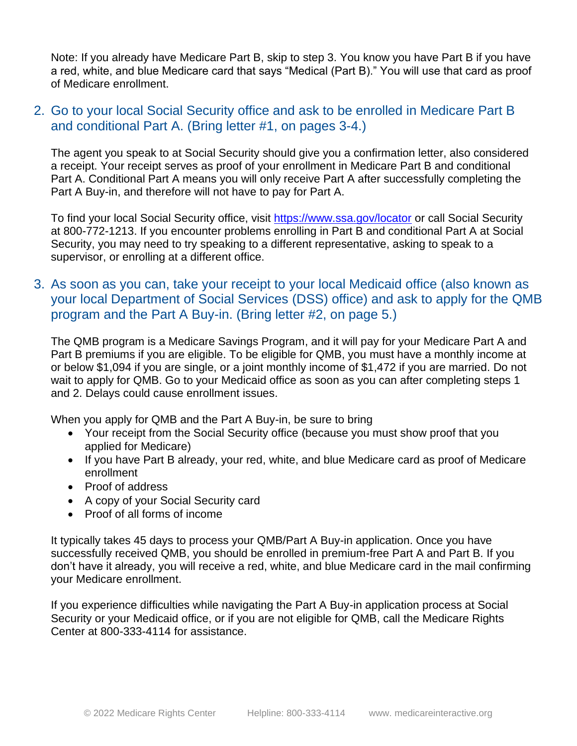Note: If you already have Medicare Part B, skip to step 3. You know you have Part B if you have a red, white, and blue Medicare card that says "Medical (Part B)." You will use that card as proof of Medicare enrollment.

## 2. Go to your local Social Security office and ask to be enrolled in Medicare Part B and conditional Part A. (Bring letter #1, on pages 3-4.)

The agent you speak to at Social Security should give you a confirmation letter, also considered a receipt. Your receipt serves as proof of your enrollment in Medicare Part B and conditional Part A. Conditional Part A means you will only receive Part A after successfully completing the Part A Buy-in, and therefore will not have to pay for Part A.

To find your local Social Security office, visit <https://www.ssa.gov/locator> or call Social Security at 800-772-1213. If you encounter problems enrolling in Part B and conditional Part A at Social Security, you may need to try speaking to a different representative, asking to speak to a supervisor, or enrolling at a different office.

## 3. As soon as you can, take your receipt to your local Medicaid office (also known as your local Department of Social Services (DSS) office) and ask to apply for the QMB program and the Part A Buy-in. (Bring letter #2, on page 5.)

The QMB program is a Medicare Savings Program, and it will pay for your Medicare Part A and Part B premiums if you are eligible. To be eligible for QMB, you must have a monthly income at or below \$1,094 if you are single, or a joint monthly income of \$1,472 if you are married. Do not wait to apply for QMB. Go to your Medicaid office as soon as you can after completing steps 1 and 2. Delays could cause enrollment issues.

When you apply for QMB and the Part A Buy-in, be sure to bring

- Your receipt from the Social Security office (because you must show proof that you applied for Medicare)
- If you have Part B already, your red, white, and blue Medicare card as proof of Medicare enrollment
- Proof of address
- A copy of your Social Security card
- Proof of all forms of income

It typically takes 45 days to process your QMB/Part A Buy-in application. Once you have successfully received QMB, you should be enrolled in premium-free Part A and Part B. If you don't have it already, you will receive a red, white, and blue Medicare card in the mail confirming your Medicare enrollment.

If you experience difficulties while navigating the Part A Buy-in application process at Social Security or your Medicaid office, or if you are not eligible for QMB, call the Medicare Rights Center at 800-333-4114 for assistance.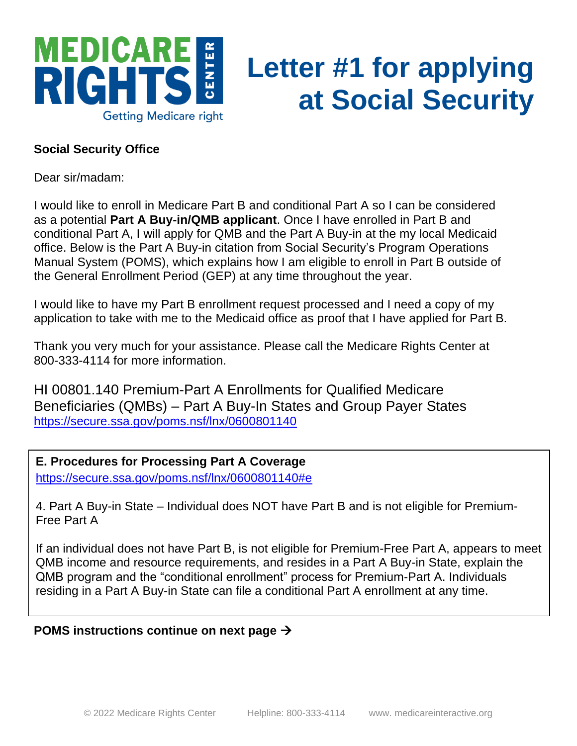

## **Letter #1 for applying at Social Security**

## **Social Security Office**

Dear sir/madam:

I would like to enroll in Medicare Part B and conditional Part A so I can be considered as a potential **Part A Buy-in/QMB applicant**. Once I have enrolled in Part B and conditional Part A, I will apply for QMB and the Part A Buy-in at the my local Medicaid office. Below is the Part A Buy-in citation from Social Security's Program Operations Manual System (POMS), which explains how I am eligible to enroll in Part B outside of the General Enrollment Period (GEP) at any time throughout the year.

I would like to have my Part B enrollment request processed and I need a copy of my application to take with me to the Medicaid office as proof that I have applied for Part B.

Thank you very much for your assistance. Please call the Medicare Rights Center at 800-333-4114 for more information.

HI 00801.140 Premium-Part A Enrollments for Qualified Medicare Beneficiaries (QMBs) – Part A Buy-In States and Group Payer States <https://secure.ssa.gov/poms.nsf/lnx/0600801140>

**E. Procedures for Processing Part A Coverage** <https://secure.ssa.gov/poms.nsf/lnx/0600801140#e>

4. Part A Buy-in State – Individual does NOT have Part B and is not eligible for Premium-Free Part A

If an individual does not have Part B, is not eligible for Premium-Free Part A, appears to meet QMB income and resource requirements, and resides in a Part A Buy-in State, explain the QMB program and the "conditional enrollment" process for Premium-Part A. Individuals residing in a Part A Buy-in State can file a conditional Part A enrollment at any time.

### **POMS instructions continue on next page** →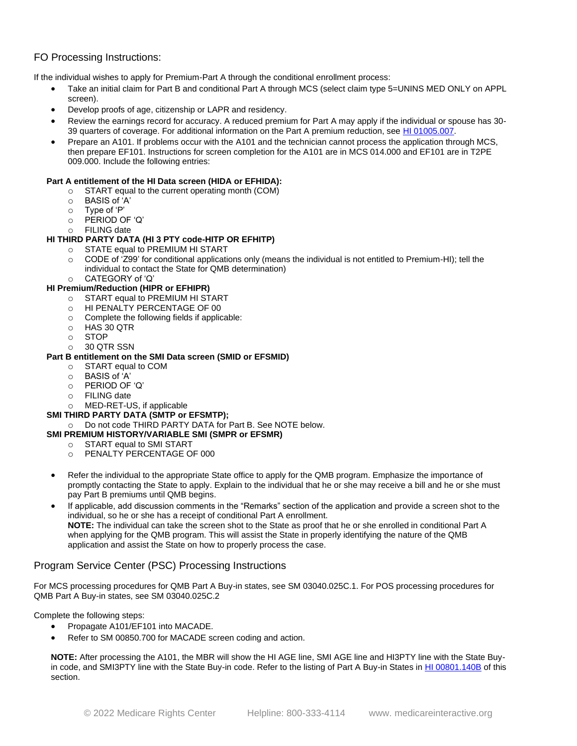#### FO Processing Instructions:

If the individual wishes to apply for Premium-Part A through the conditional enrollment process:

- Take an initial claim for Part B and conditional Part A through MCS (select claim type 5=UNINS MED ONLY on APPL screen).
- Develop proofs of age, citizenship or LAPR and residency.
- Review the earnings record for accuracy. A reduced premium for Part A may apply if the individual or spouse has 30- 39 quarters of coverage. For additional information on the Part A premium reduction, see [HI 01005.007.](https://secure.ssa.gov/poms.nsf/lnx/0601005007)
- Prepare an A101. If problems occur with the A101 and the technician cannot process the application through MCS, then prepare EF101. Instructions for screen completion for the A101 are in MCS 014.000 and EF101 are in T2PE 009.000. Include the following entries:

#### **Part A entitlement of the HI Data screen (HIDA or EFHIDA):**

- o START equal to the current operating month (COM)
- o BASIS of 'A'
- o Type of 'P'
- o PERIOD OF 'Q'
- o FILING date

#### **HI THIRD PARTY DATA (HI 3 PTY code-HITP OR EFHITP)**

- o STATE equal to PREMIUM HI START
- o CODE of 'Z99' for conditional applications only (means the individual is not entitled to Premium-HI); tell the individual to contact the State for QMB determination)
- o CATEGORY of 'Q'

#### **HI Premium/Reduction (HIPR or EFHIPR)**

- o START equal to PREMIUM HI START
- o HI PENALTY PERCENTAGE OF 00
- o Complete the following fields if applicable:
- o HAS 30 QTR
- o STOP
- o 30 QTR SSN

#### **Part B entitlement on the SMI Data screen (SMID or EFSMID)**

- o START equal to COM
- o BASIS of 'A'
- o PERIOD OF 'Q'
- o FILING date
- o MED-RET-US, if applicable

#### **SMI THIRD PARTY DATA (SMTP or EFSMTP);**

o Do not code THIRD PARTY DATA for Part B. See NOTE below.

#### **SMI PREMIUM HISTORY/VARIABLE SMI (SMPR or EFSMR)**

- o START equal to SMI START
- o PENALTY PERCENTAGE OF 000
- Refer the individual to the appropriate State office to apply for the QMB program. Emphasize the importance of promptly contacting the State to apply. Explain to the individual that he or she may receive a bill and he or she must pay Part B premiums until QMB begins.
- If applicable, add discussion comments in the "Remarks" section of the application and provide a screen shot to the individual, so he or she has a receipt of conditional Part A enrollment. **NOTE:** The individual can take the screen shot to the State as proof that he or she enrolled in conditional Part A when applying for the QMB program. This will assist the State in properly identifying the nature of the QMB application and assist the State on how to properly process the case.

#### Program Service Center (PSC) Processing Instructions

For MCS processing procedures for QMB Part A Buy-in states, see SM 03040.025C.1. For POS processing procedures for QMB Part A Buy-in states, see SM 03040.025C.2

Complete the following steps:

- Propagate A101/EF101 into MACADE.
- Refer to SM 00850.700 for MACADE screen coding and action.

**NOTE:** After processing the A101, the MBR will show the HI AGE line, SMI AGE line and HI3PTY line with the State Buy-in code, and SMI3PTY line with the State Buy-in code. Refer to the listing of Part A Buy-in States in [HI 00801.140B](https://secure.ssa.gov/poms.nsf/lnx/0600801140#b) of this section.